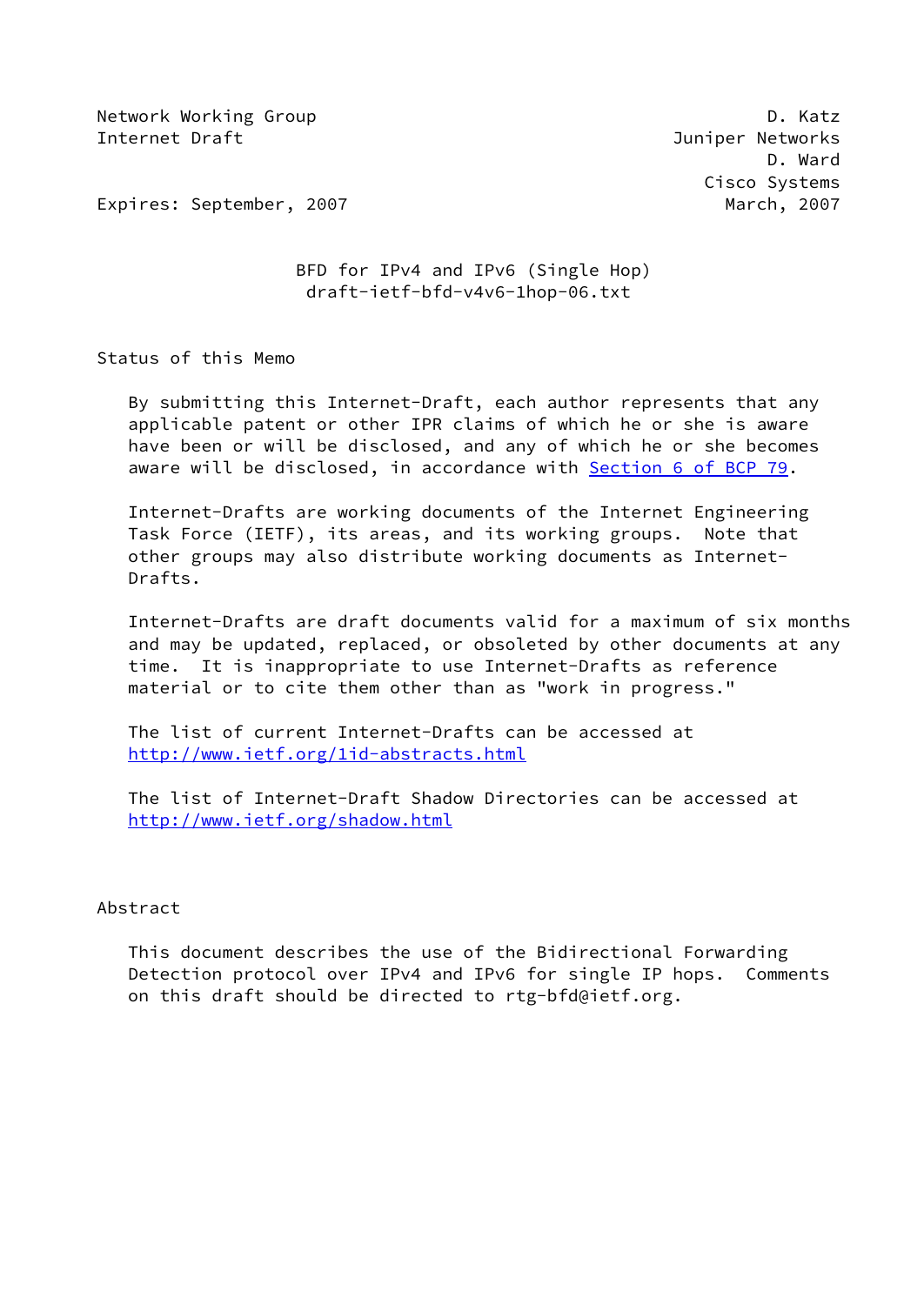Network Working Group **D. Ratz** Internet Draft **Graph** Communication and the Communication of the Communication of the Communication of the Communication of the Communication of the Communication of the Communication of the Communication of the Communica

 D. Ward Cisco Systems

Expires: September, 2007 March, 2007

 BFD for IPv4 and IPv6 (Single Hop) draft-ietf-bfd-v4v6-1hop-06.txt

Status of this Memo

 By submitting this Internet-Draft, each author represents that any applicable patent or other IPR claims of which he or she is aware have been or will be disclosed, and any of which he or she becomes aware will be disclosed, in accordance with Section [6 of BCP 79.](https://datatracker.ietf.org/doc/pdf/bcp79#section-6)

 Internet-Drafts are working documents of the Internet Engineering Task Force (IETF), its areas, and its working groups. Note that other groups may also distribute working documents as Internet- Drafts.

 Internet-Drafts are draft documents valid for a maximum of six months and may be updated, replaced, or obsoleted by other documents at any time. It is inappropriate to use Internet-Drafts as reference material or to cite them other than as "work in progress."

 The list of current Internet-Drafts can be accessed at <http://www.ietf.org/1id-abstracts.html>

 The list of Internet-Draft Shadow Directories can be accessed at <http://www.ietf.org/shadow.html>

#### Abstract

 This document describes the use of the Bidirectional Forwarding Detection protocol over IPv4 and IPv6 for single IP hops. Comments on this draft should be directed to rtg-bfd@ietf.org.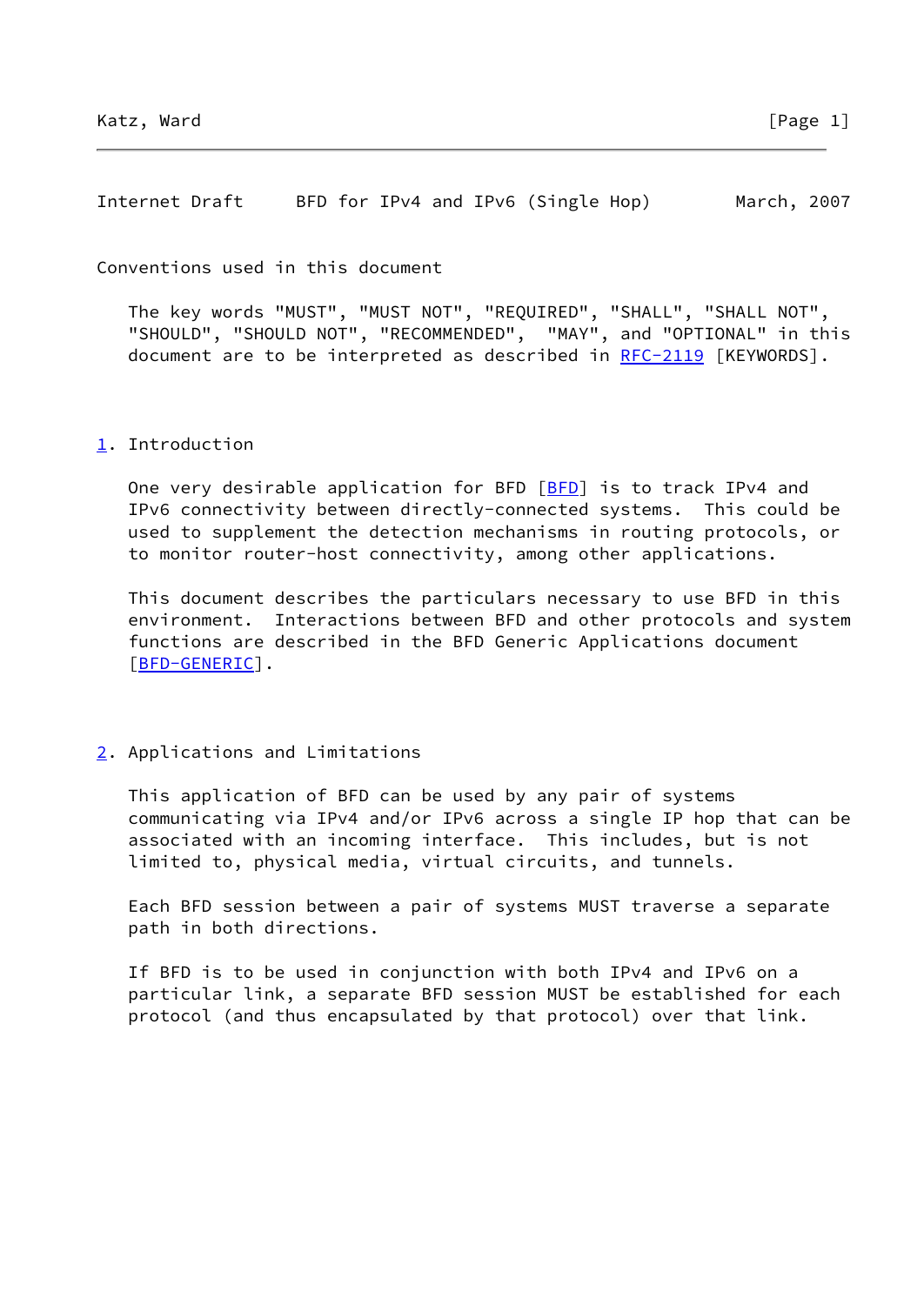Internet Draft BFD for IPv4 and IPv6 (Single Hop) March, 2007

Conventions used in this document

 The key words "MUST", "MUST NOT", "REQUIRED", "SHALL", "SHALL NOT", "SHOULD", "SHOULD NOT", "RECOMMENDED", "MAY", and "OPTIONAL" in this document are to be interpreted as described in [RFC-2119](https://datatracker.ietf.org/doc/pdf/rfc2119) [KEYWORDS].

# <span id="page-1-0"></span>[1](#page-1-0). Introduction

One very desirable application for BFD [\[BFD](#page-5-0)] is to track IPv4 and IPv6 connectivity between directly-connected systems. This could be used to supplement the detection mechanisms in routing protocols, or to monitor router-host connectivity, among other applications.

 This document describes the particulars necessary to use BFD in this environment. Interactions between BFD and other protocols and system functions are described in the BFD Generic Applications document [\[BFD-GENERIC](#page-5-1)].

<span id="page-1-1"></span>[2](#page-1-1). Applications and Limitations

 This application of BFD can be used by any pair of systems communicating via IPv4 and/or IPv6 across a single IP hop that can be associated with an incoming interface. This includes, but is not limited to, physical media, virtual circuits, and tunnels.

 Each BFD session between a pair of systems MUST traverse a separate path in both directions.

 If BFD is to be used in conjunction with both IPv4 and IPv6 on a particular link, a separate BFD session MUST be established for each protocol (and thus encapsulated by that protocol) over that link.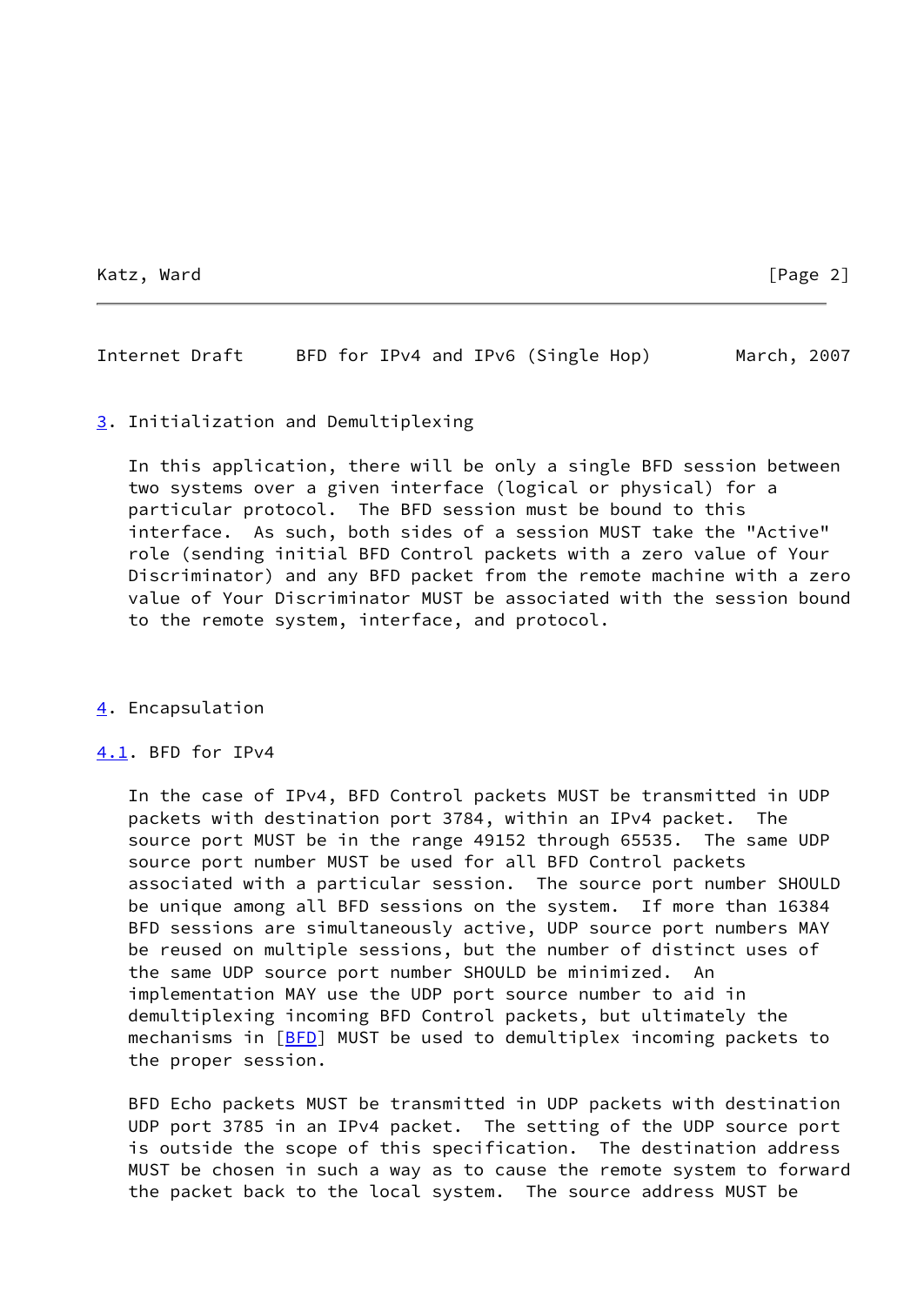Katz, Ward [Page 2]

Internet Draft BFD for IPv4 and IPv6 (Single Hop) March, 2007

## <span id="page-2-0"></span>[3](#page-2-0). Initialization and Demultiplexing

 In this application, there will be only a single BFD session between two systems over a given interface (logical or physical) for a particular protocol. The BFD session must be bound to this interface. As such, both sides of a session MUST take the "Active" role (sending initial BFD Control packets with a zero value of Your Discriminator) and any BFD packet from the remote machine with a zero value of Your Discriminator MUST be associated with the session bound to the remote system, interface, and protocol.

# <span id="page-2-1"></span>[4](#page-2-1). Encapsulation

# <span id="page-2-2"></span>[4.1](#page-2-2). BFD for IPv4

 In the case of IPv4, BFD Control packets MUST be transmitted in UDP packets with destination port 3784, within an IPv4 packet. The source port MUST be in the range 49152 through 65535. The same UDP source port number MUST be used for all BFD Control packets associated with a particular session. The source port number SHOULD be unique among all BFD sessions on the system. If more than 16384 BFD sessions are simultaneously active, UDP source port numbers MAY be reused on multiple sessions, but the number of distinct uses of the same UDP source port number SHOULD be minimized. An implementation MAY use the UDP port source number to aid in demultiplexing incoming BFD Control packets, but ultimately the mechanisms in [[BFD](#page-5-0)] MUST be used to demultiplex incoming packets to the proper session.

 BFD Echo packets MUST be transmitted in UDP packets with destination UDP port 3785 in an IPv4 packet. The setting of the UDP source port is outside the scope of this specification. The destination address MUST be chosen in such a way as to cause the remote system to forward the packet back to the local system. The source address MUST be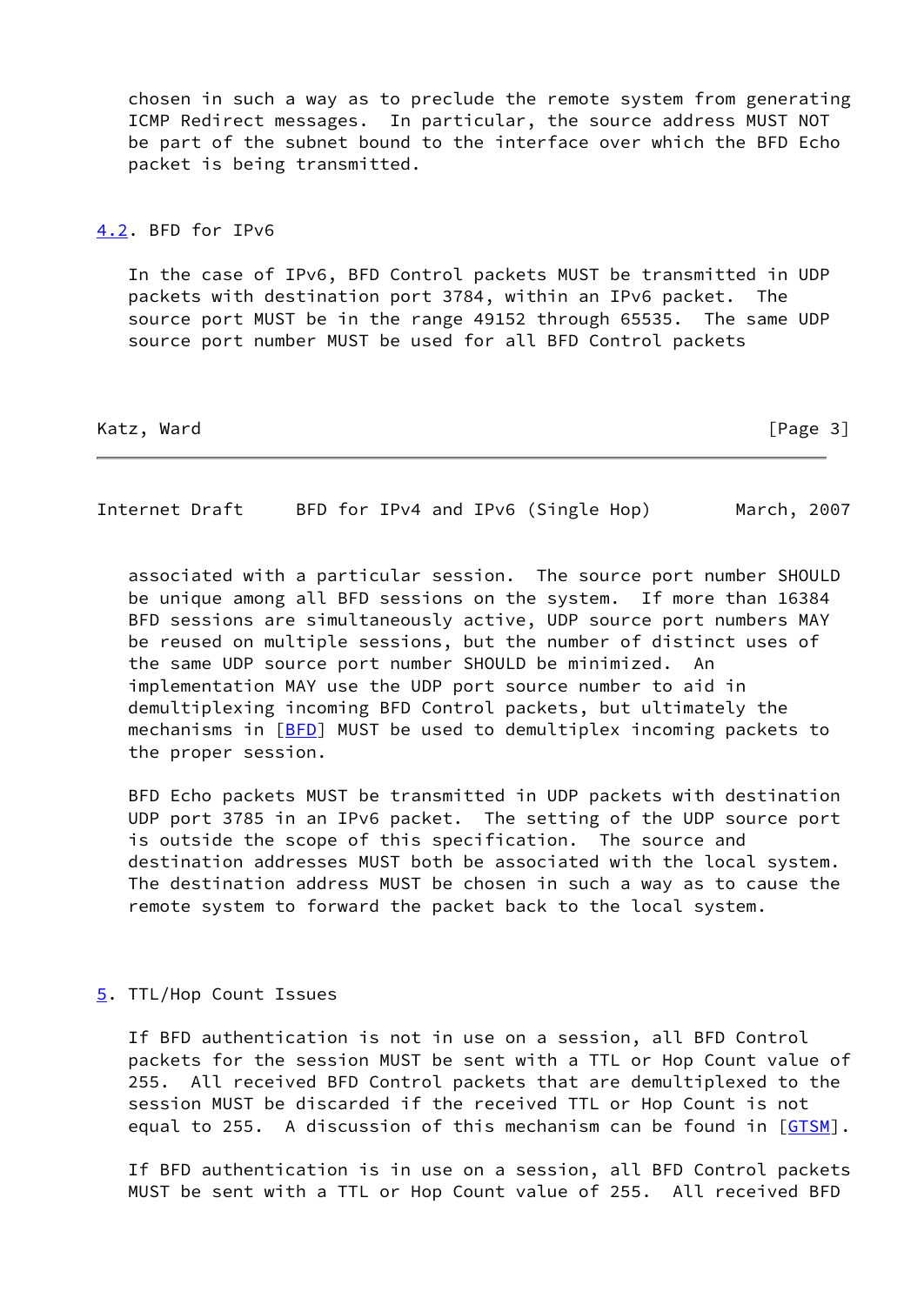chosen in such a way as to preclude the remote system from generating ICMP Redirect messages. In particular, the source address MUST NOT be part of the subnet bound to the interface over which the BFD Echo packet is being transmitted.

#### <span id="page-3-0"></span>[4.2](#page-3-0). BFD for IPv6

 In the case of IPv6, BFD Control packets MUST be transmitted in UDP packets with destination port 3784, within an IPv6 packet. The source port MUST be in the range 49152 through 65535. The same UDP source port number MUST be used for all BFD Control packets

Katz, Ward [Page 3]

Internet Draft BFD for IPv4 and IPv6 (Single Hop) March, 2007

 associated with a particular session. The source port number SHOULD be unique among all BFD sessions on the system. If more than 16384 BFD sessions are simultaneously active, UDP source port numbers MAY be reused on multiple sessions, but the number of distinct uses of the same UDP source port number SHOULD be minimized. An implementation MAY use the UDP port source number to aid in demultiplexing incoming BFD Control packets, but ultimately the mechanisms in [[BFD](#page-5-0)] MUST be used to demultiplex incoming packets to the proper session.

 BFD Echo packets MUST be transmitted in UDP packets with destination UDP port 3785 in an IPv6 packet. The setting of the UDP source port is outside the scope of this specification. The source and destination addresses MUST both be associated with the local system. The destination address MUST be chosen in such a way as to cause the remote system to forward the packet back to the local system.

# <span id="page-3-1"></span>[5](#page-3-1). TTL/Hop Count Issues

 If BFD authentication is not in use on a session, all BFD Control packets for the session MUST be sent with a TTL or Hop Count value of 255. All received BFD Control packets that are demultiplexed to the session MUST be discarded if the received TTL or Hop Count is not equal to 255. A discussion of this mechanism can be found in [[GTSM\]](#page-5-2).

 If BFD authentication is in use on a session, all BFD Control packets MUST be sent with a TTL or Hop Count value of 255. All received BFD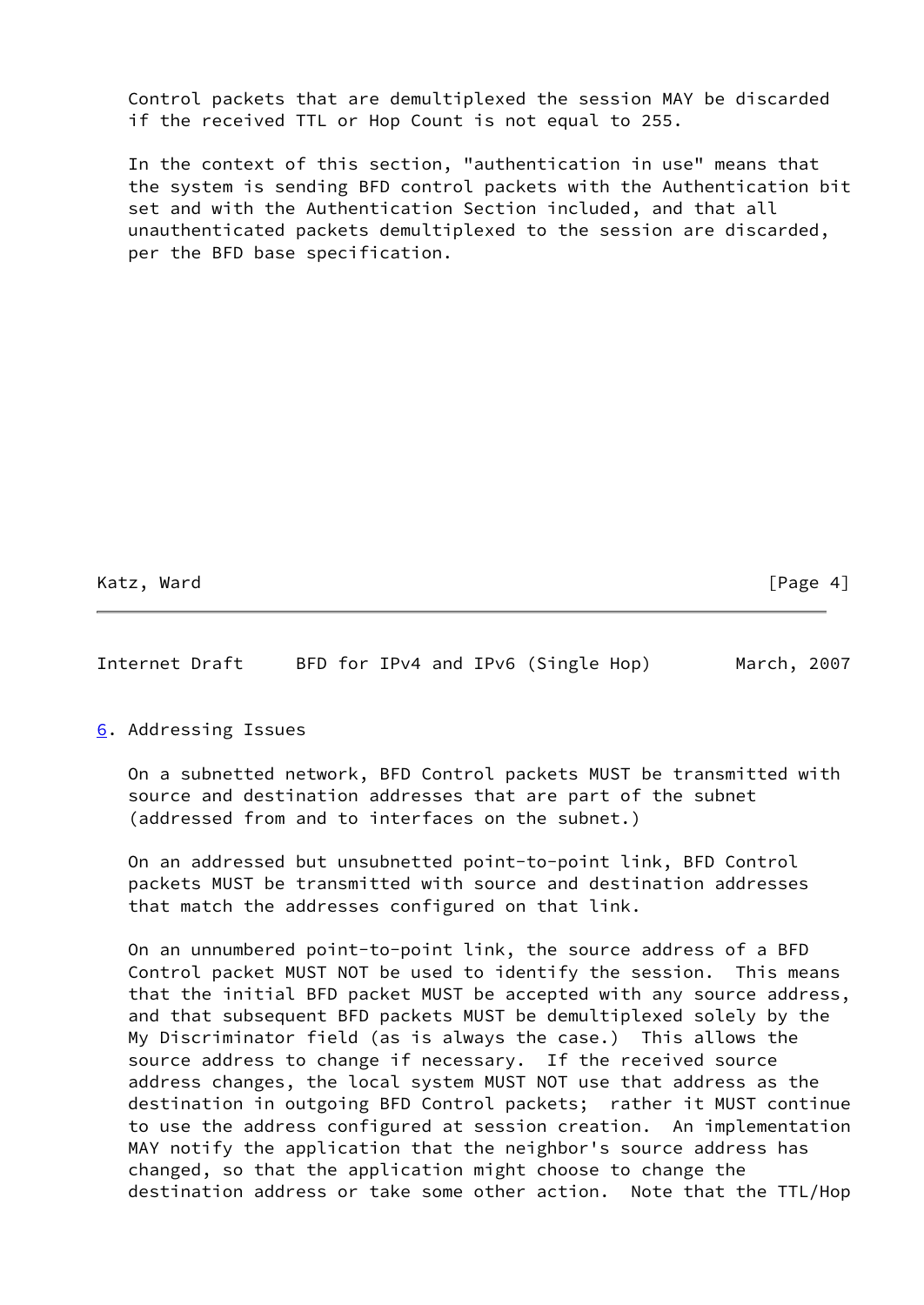Control packets that are demultiplexed the session MAY be discarded if the received TTL or Hop Count is not equal to 255.

 In the context of this section, "authentication in use" means that the system is sending BFD control packets with the Authentication bit set and with the Authentication Section included, and that all unauthenticated packets demultiplexed to the session are discarded, per the BFD base specification.

Katz, Ward [Page 4]

Internet Draft BFD for IPv4 and IPv6 (Single Hop) March, 2007

<span id="page-4-0"></span>[6](#page-4-0). Addressing Issues

 On a subnetted network, BFD Control packets MUST be transmitted with source and destination addresses that are part of the subnet (addressed from and to interfaces on the subnet.)

 On an addressed but unsubnetted point-to-point link, BFD Control packets MUST be transmitted with source and destination addresses that match the addresses configured on that link.

 On an unnumbered point-to-point link, the source address of a BFD Control packet MUST NOT be used to identify the session. This means that the initial BFD packet MUST be accepted with any source address, and that subsequent BFD packets MUST be demultiplexed solely by the My Discriminator field (as is always the case.) This allows the source address to change if necessary. If the received source address changes, the local system MUST NOT use that address as the destination in outgoing BFD Control packets; rather it MUST continue to use the address configured at session creation. An implementation MAY notify the application that the neighbor's source address has changed, so that the application might choose to change the destination address or take some other action. Note that the TTL/Hop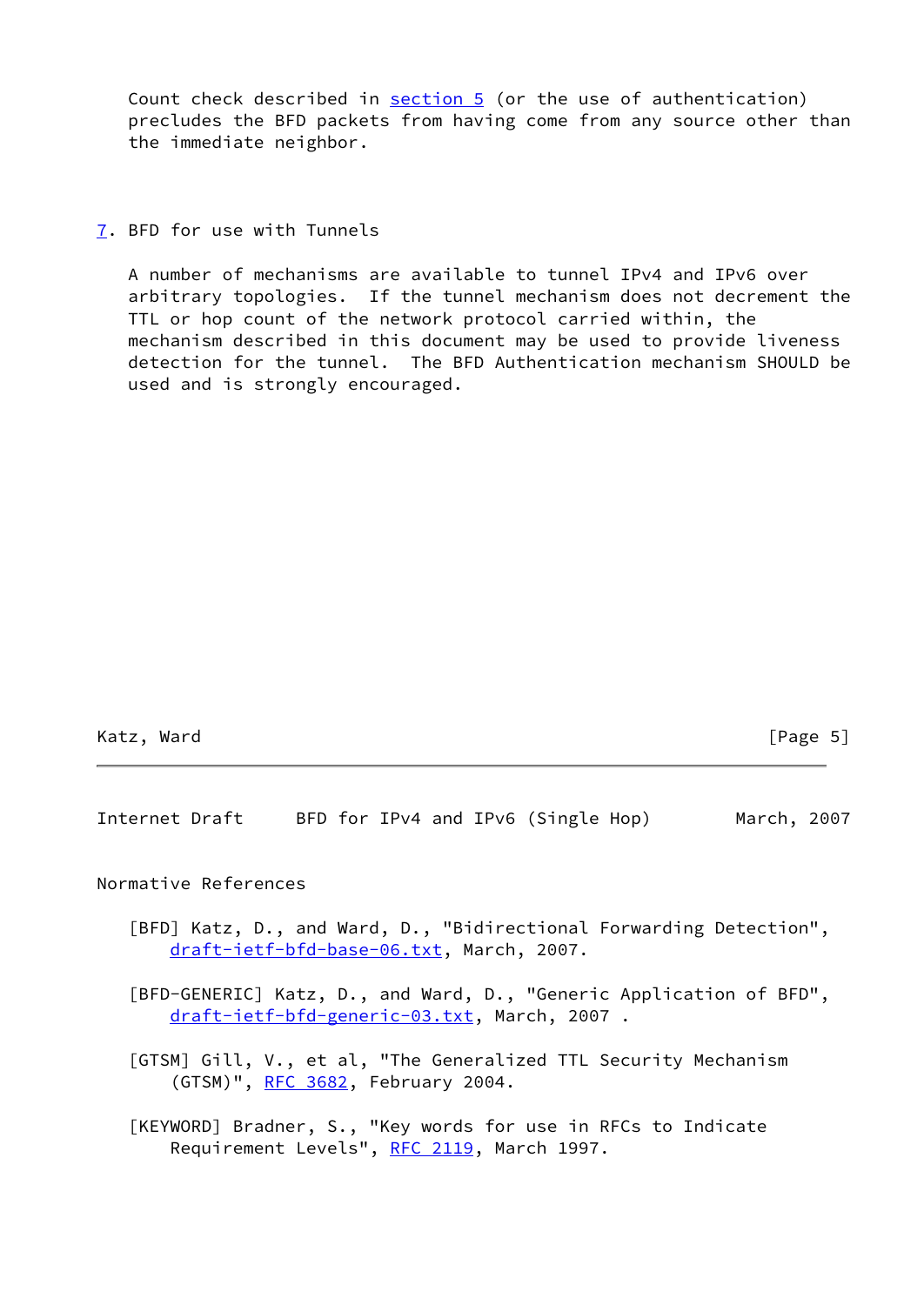Count check described in [section 5](#page-3-1) (or the use of authentication) precludes the BFD packets from having come from any source other than the immediate neighbor.

<span id="page-5-3"></span>[7](#page-5-3). BFD for use with Tunnels

 A number of mechanisms are available to tunnel IPv4 and IPv6 over arbitrary topologies. If the tunnel mechanism does not decrement the TTL or hop count of the network protocol carried within, the mechanism described in this document may be used to provide liveness detection for the tunnel. The BFD Authentication mechanism SHOULD be used and is strongly encouraged.

Internet Draft BFD for IPv4 and IPv6 (Single Hop) March, 2007

Normative References

- <span id="page-5-0"></span> [BFD] Katz, D., and Ward, D., "Bidirectional Forwarding Detection", [draft-ietf-bfd-base-06.txt,](https://datatracker.ietf.org/doc/pdf/draft-ietf-bfd-base-06.txt) March, 2007.
- <span id="page-5-1"></span> [BFD-GENERIC] Katz, D., and Ward, D., "Generic Application of BFD", [draft-ietf-bfd-generic-03.txt,](https://datatracker.ietf.org/doc/pdf/draft-ietf-bfd-generic-03.txt) March, 2007 .
- <span id="page-5-2"></span> [GTSM] Gill, V., et al, "The Generalized TTL Security Mechanism (GTSM)", [RFC 3682](https://datatracker.ietf.org/doc/pdf/rfc3682), February 2004.
- [KEYWORD] Bradner, S., "Key words for use in RFCs to Indicate Requirement Levels", [RFC 2119](https://datatracker.ietf.org/doc/pdf/rfc2119), March 1997.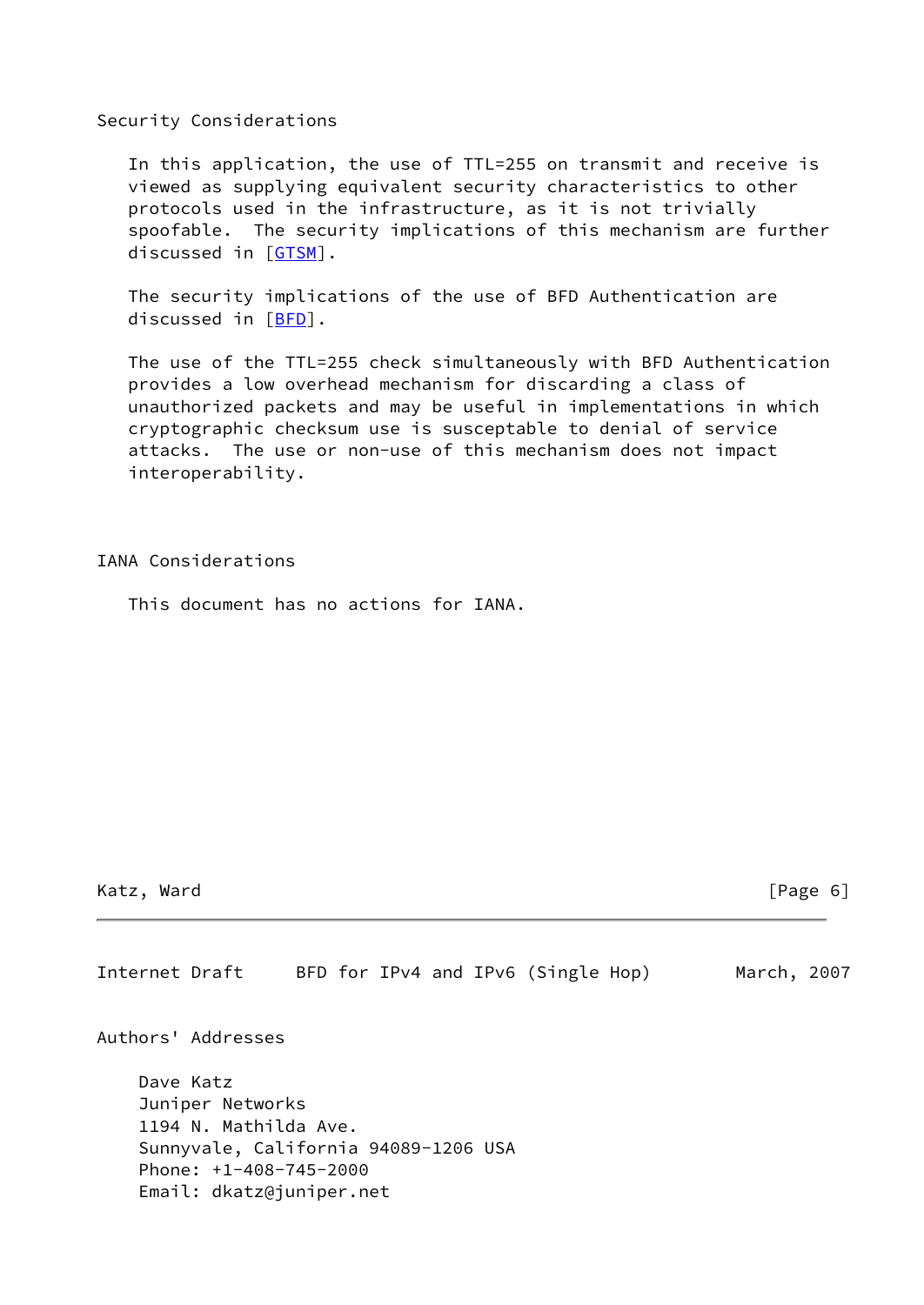#### Security Considerations

 In this application, the use of TTL=255 on transmit and receive is viewed as supplying equivalent security characteristics to other protocols used in the infrastructure, as it is not trivially spoofable. The security implications of this mechanism are further discussed in [\[GTSM](#page-5-2)].

 The security implications of the use of BFD Authentication are discussed in [\[BFD](#page-5-0)].

 The use of the TTL=255 check simultaneously with BFD Authentication provides a low overhead mechanism for discarding a class of unauthorized packets and may be useful in implementations in which cryptographic checksum use is susceptable to denial of service attacks. The use or non-use of this mechanism does not impact interoperability.

## IANA Considerations

This document has no actions for IANA.

# Katz, Ward [Page 6]

Internet Draft BFD for IPv4 and IPv6 (Single Hop) March, 2007

Authors' Addresses

 Dave Katz Juniper Networks 1194 N. Mathilda Ave. Sunnyvale, California 94089-1206 USA Phone: +1-408-745-2000 Email: dkatz@juniper.net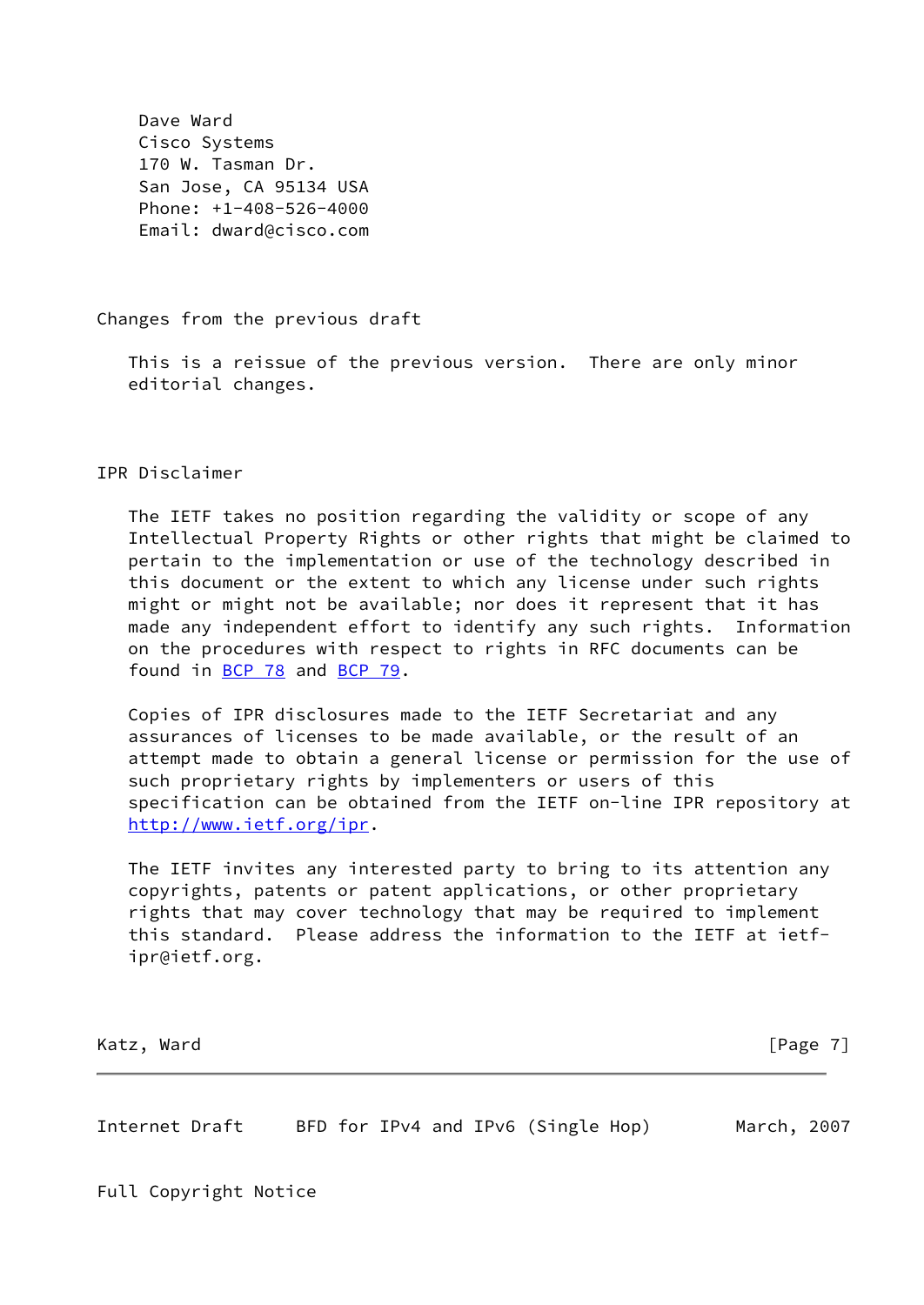Dave Ward Cisco Systems 170 W. Tasman Dr. San Jose, CA 95134 USA Phone: +1-408-526-4000 Email: dward@cisco.com

Changes from the previous draft

 This is a reissue of the previous version. There are only minor editorial changes.

IPR Disclaimer

 The IETF takes no position regarding the validity or scope of any Intellectual Property Rights or other rights that might be claimed to pertain to the implementation or use of the technology described in this document or the extent to which any license under such rights might or might not be available; nor does it represent that it has made any independent effort to identify any such rights. Information on the procedures with respect to rights in RFC documents can be found in [BCP 78](https://datatracker.ietf.org/doc/pdf/bcp78) and [BCP 79](https://datatracker.ietf.org/doc/pdf/bcp79).

 Copies of IPR disclosures made to the IETF Secretariat and any assurances of licenses to be made available, or the result of an attempt made to obtain a general license or permission for the use of such proprietary rights by implementers or users of this specification can be obtained from the IETF on-line IPR repository at <http://www.ietf.org/ipr>.

 The IETF invites any interested party to bring to its attention any copyrights, patents or patent applications, or other proprietary rights that may cover technology that may be required to implement this standard. Please address the information to the IETF at ietf ipr@ietf.org.

Katz, Ward [Page 7]

Internet Draft BFD for IPv4 and IPv6 (Single Hop) March, 2007

Full Copyright Notice